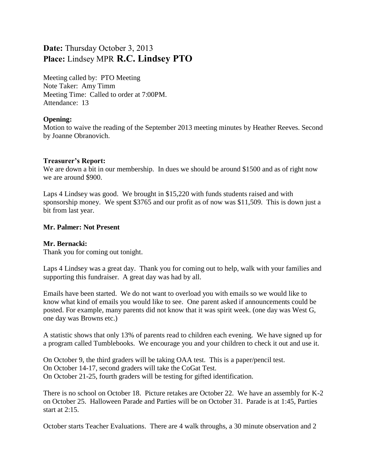# **Date:** Thursday October 3, 2013 **Place:** Lindsey MPR **R.C. Lindsey PTO**

Meeting called by: PTO Meeting Note Taker: Amy Timm Meeting Time: Called to order at 7:00PM. Attendance: 13

# **Opening:**

Motion to waive the reading of the September 2013 meeting minutes by Heather Reeves. Second by Joanne Obranovich.

# **Treasurer's Report:**

We are down a bit in our membership. In dues we should be around \$1500 and as of right now we are around \$900.

Laps 4 Lindsey was good. We brought in \$15,220 with funds students raised and with sponsorship money. We spent \$3765 and our profit as of now was \$11,509. This is down just a bit from last year.

# **Mr. Palmer: Not Present**

## **Mr. Bernacki:**

Thank you for coming out tonight.

Laps 4 Lindsey was a great day. Thank you for coming out to help, walk with your families and supporting this fundraiser. A great day was had by all.

Emails have been started. We do not want to overload you with emails so we would like to know what kind of emails you would like to see. One parent asked if announcements could be posted. For example, many parents did not know that it was spirit week. (one day was West G, one day was Browns etc.)

A statistic shows that only 13% of parents read to children each evening. We have signed up for a program called Tumblebooks. We encourage you and your children to check it out and use it.

On October 9, the third graders will be taking OAA test. This is a paper/pencil test. On October 14-17, second graders will take the CoGat Test. On October 21-25, fourth graders will be testing for gifted identification.

There is no school on October 18. Picture retakes are October 22. We have an assembly for K-2 on October 25. Halloween Parade and Parties will be on October 31. Parade is at 1:45, Parties start at 2:15.

October starts Teacher Evaluations. There are 4 walk throughs, a 30 minute observation and 2